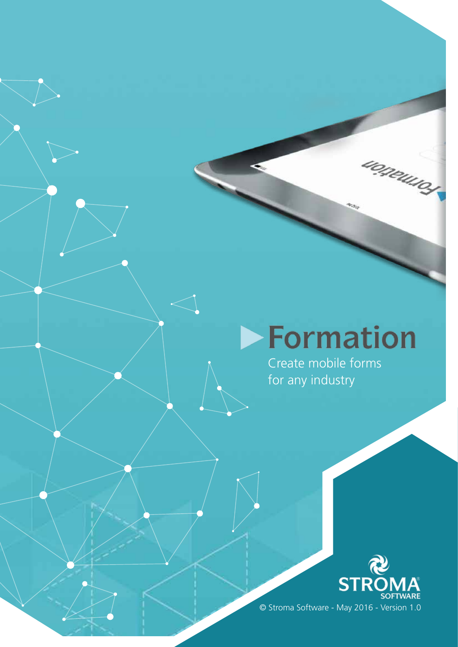# Formation

uogeuso

Create mobile forms for any industry

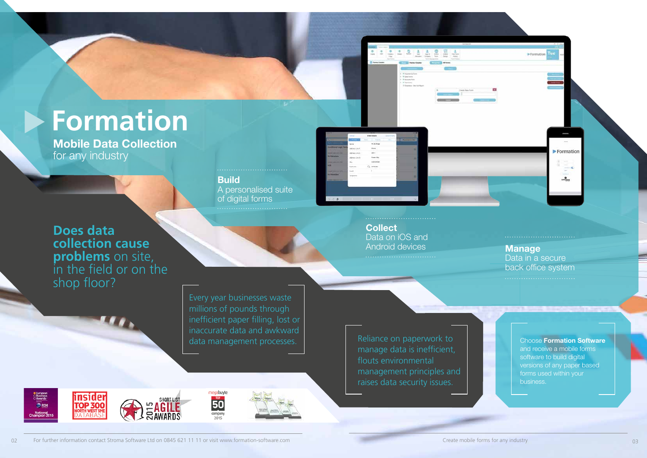# **Formation**

Data in a secure back office system

Build A personalised suite of digital forms



土豆土山豆豆土

**Collect** Data on iOS and Android devices Manage

Every year businesses waste millions of pounds through inefficient paper filling, lost or inaccurate data and awkward data management processes.

megabuyte

 $\overline{50}$ 

company

2015

**Does data collection cause problems** on site, in the field or on the shop floor?

> manage data is inefficient, flouts environmental management principles and raises data security issues.

**C** European<br> **Business**<br>
C Awards insider **TOP 300 DRSM** National<br>smoion 201



Choose Formation Software and receive a mobile forms software to build digital versions of any paper based forms used within your business.

Formation

 $\equiv$ <sup>0</sup>

 $37000M$ 

Mobile Data Collection for any industry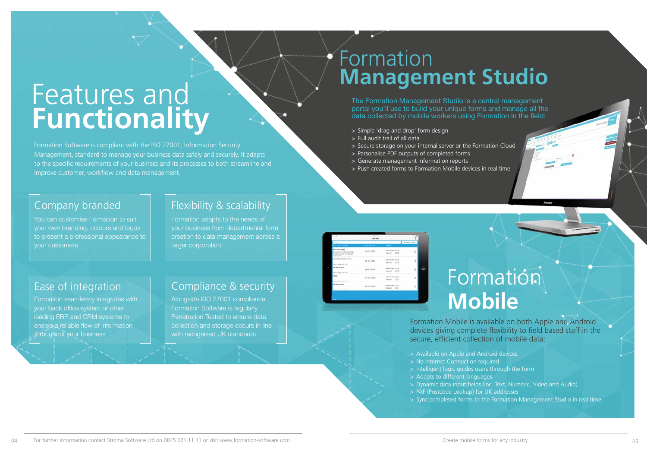# Features and **Functionality**

Formation Software is compliant with the ISO 27001, Information Security Management, standard to manage your business data safely and securely. It adapts to the specific requirements of your business and its processes to both streamline and improve customer, workflow and data management.

> Formation adapts to the needs of your business from departmental form creation to data management across a larger corporation

### Company branded

Alongside ISO 27001 compliance, Formation Software is regularly Penetration Tested to ensure data collection and storage occurs in line with recognised UK standards

You can customise Formation to suit your own branding, colours and logos to present a professional appearance to your customers

### Flexibility & scalability

#### Ease of integration

# **Formation Mobile**

Formation seamlessly integrates with your back office system or other leading ERP and CRM systems to enable a reliable flow of information throughout your business

### Compliance & security

### Formation **Management Studio**

The Formation Management Studio is a central management portal you'll use to build your unique forms and manage all the data collected by mobile workers using Formation in the field:

- > Simple 'drag and drop' form design
- > Full audit trail of all data
- > Secure storage on your internal server or the Formation Cloud
- > Personalise PDF outputs of completed forms
- > Generate management information reports
- > Push created forms to Formation Mobile devices in real time

Formation Mobile is available on both Apple and Android devices giving complete flexibility to field based staff in the

# secure, efficient collection of mobile data:

- > Available on Apple and Android devices
- > No Internet Connection required
- > Intelligent logic guides users through the form
- > Adapts to different languages
- 
- > PAF (Postcode Lookup) for UK addresses
- 

> Dynamic data input fields (inc. Text, Numeric, Video and Audio) > Sync completed forms to the Formation Management Studio in real time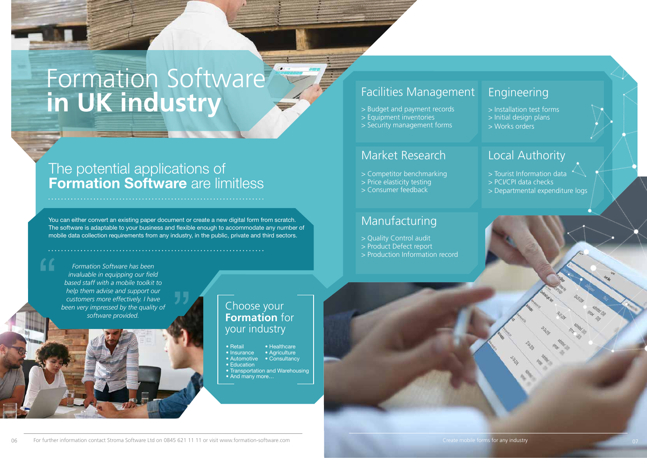You can either convert an existing paper document or create a new digital form from scratch. The software is adaptable to your business and flexible enough to accommodate any number of mobile data collection requirements from any industry, in the public, private and third sectors.

**Formation Software has been<br>Formation Software has been<br>invaluable in equipping our field<br>based staff with a mobile toolkit<br>help them advise and support our<br>customers more effectively I have** *invaluable in equipping our field based staff with a mobile toolkit to help them advise and support our customers more effectively. I have been very impressed by the quality of software provided.*

- Retail Healthcare
- Insurance Agriculture
- Automotive Consultancy
- Education
- Transportation and Warehousing
- And many more…

# Formation Software **in UK industry**

### The potential applications of **Formation Software are limitless**

### Choose your **Formation** for your industry

> Tourist Information data > PCI/CPI data checks > Departmental expenditure logs

### Engineering

> Installation test forms > Initial design plans

> Works orders

### Facilities Management

- > Budget and payment records
- > Equipment inventories
- > Security management forms

### Market Research

- > Competitor benchmarking
- > Price elasticity testing
- > Consumer feedback

### Local Authority

### Manufacturing

- > Quality Control audit
- > Product Defect report
- > Production Information record